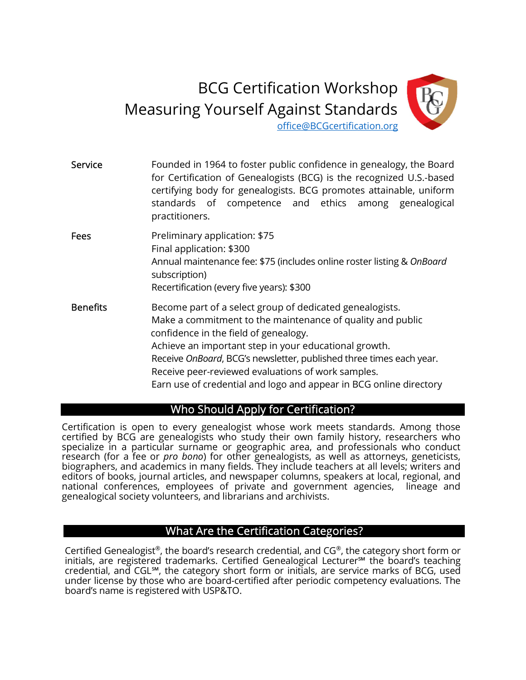# BCG Certification Workshop Measuring Yourself Against Standards



office@BCGcertification.org

| Service         | Founded in 1964 to foster public confidence in genealogy, the Board<br>for Certification of Genealogists (BCG) is the recognized U.S.-based<br>certifying body for genealogists. BCG promotes attainable, uniform<br>standards of competence and ethics among genealogical<br>practitioners.                                                                                                                                |
|-----------------|-----------------------------------------------------------------------------------------------------------------------------------------------------------------------------------------------------------------------------------------------------------------------------------------------------------------------------------------------------------------------------------------------------------------------------|
| <b>Fees</b>     | Preliminary application: \$75<br>Final application: \$300<br>Annual maintenance fee: \$75 (includes online roster listing & OnBoard<br>subscription)<br>Recertification (every five years): \$300                                                                                                                                                                                                                           |
| <b>Benefits</b> | Become part of a select group of dedicated genealogists.<br>Make a commitment to the maintenance of quality and public<br>confidence in the field of genealogy.<br>Achieve an important step in your educational growth.<br>Receive OnBoard, BCG's newsletter, published three times each year.<br>Receive peer-reviewed evaluations of work samples.<br>Earn use of credential and logo and appear in BCG online directory |

## Who Should Apply for Certification?

Certification is open to every genealogist whose work meets standards. Among those certified by BCG are genealogists who study their own family history, researchers who specialize in a particular surname or geographic area, and professionals who conduct research (for a fee or *pro bono*) for other genealogists, as well as attorneys, geneticists, biographers, and academics in many fields. They include teachers at all levels; writers and editors of books, journal articles, and newspaper columns, speakers at local, regional, and national conferences, employees of private and government agencies, lineage and genealogical society volunteers, and librarians and archivists.

## What Are the Certification Categories?

Certified Genealogist®, the board's research credential, and CG®, the category short form or initials, are registered trademarks. Certified Genealogical Lecturer℠ the board's teaching credential, and CGL℠, the category short form or initials, are service marks of BCG, used under license by those who are board-certified after periodic competency evaluations. The board's name is registered with USP&TO.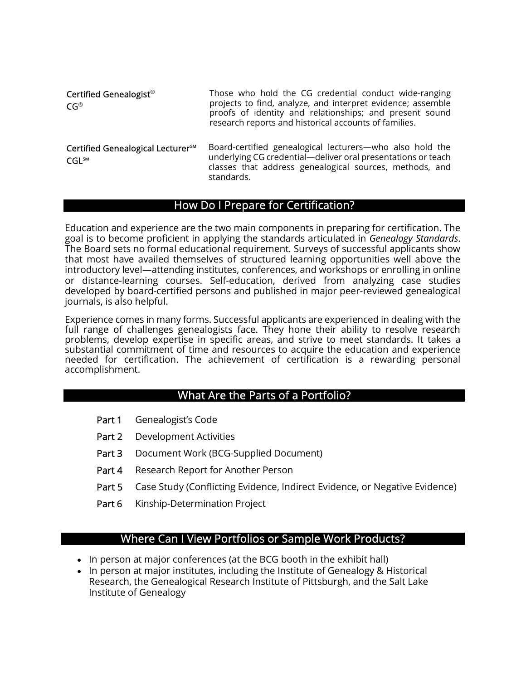| Certified Genealogist <sup>®</sup><br>$CG^{\circledR}$             | Those who hold the CG credential conduct wide-ranging<br>projects to find, analyze, and interpret evidence; assemble<br>proofs of identity and relationships; and present sound<br>research reports and historical accounts of families. |
|--------------------------------------------------------------------|------------------------------------------------------------------------------------------------------------------------------------------------------------------------------------------------------------------------------------------|
| Certified Genealogical Lecturer <sup>sM</sup><br>CGL <sub>SM</sub> | Board-certified genealogical lecturers—who also hold the<br>underlying CG credential-deliver oral presentations or teach<br>classes that address genealogical sources, methods, and                                                      |

#### How Do I Prepare for Certification?

standards.

Education and experience are the two main components in preparing for certification. The goal is to become proficient in applying the standards articulated in Genealogy Standards. The Board sets no formal educational requirement. Surveys of successful applicants show that most have availed themselves of structured learning opportunities well above the introductory level—attending institutes, conferences, and workshops or enrolling in online or distance-learning courses. Self-education, derived from analyzing case studies developed by board-certified persons and published in major peer-reviewed genealogical journals, is also helpful.

Experience comes in many forms. Successful applicants are experienced in dealing with the full range of challenges genealogists face. They hone their ability to resolve research problems, develop expertise in specific areas, and strive to meet standards. It takes a substantial commitment of time and resources to acquire the education and experience needed for certification. The achievement of certification is a rewarding personal accomplishment.

#### What Are the Parts of a Portfolio?

- Part 1 Genealogist's Code
- Part 2 Development Activities
- Part 3 Document Work (BCG-Supplied Document)
- Part 4 Research Report for Another Person
- Part 5 Case Study (Conflicting Evidence, Indirect Evidence, or Negative Evidence)
- Part 6 Kinship-Determination Project

#### Where Can I View Portfolios or Sample Work Products?

- In person at major conferences (at the BCG booth in the exhibit hall)
- In person at major institutes, including the Institute of Genealogy & Historical Research, the Genealogical Research Institute of Pittsburgh, and the Salt Lake Institute of Genealogy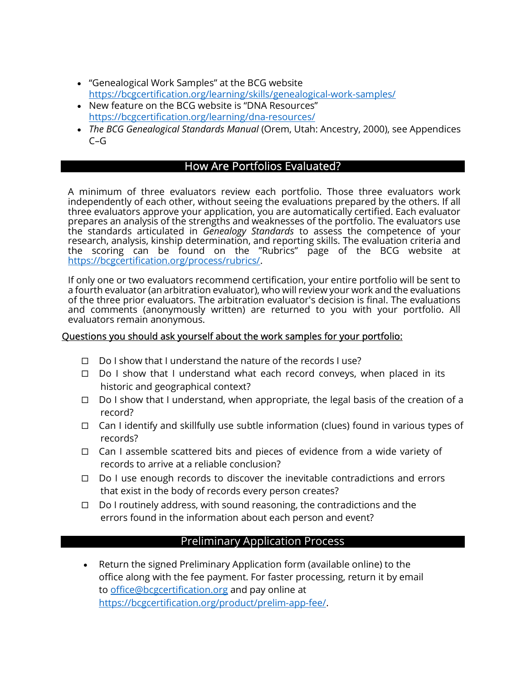- "Genealogical Work Samples" at the BCG website https://bcgcertification.org/learning/skills/genealogical-work-samples/
- New feature on the BCG website is "DNA Resources" https://bcgcertification.org/learning/dna-resources/
- The BCG Genealogical Standards Manual (Orem, Utah: Ancestry, 2000), see Appendices  $C - G$

## How Are Portfolios Evaluated?

A minimum of three evaluators review each portfolio. Those three evaluators work independently of each other, without seeing the evaluations prepared by the others. If all three evaluators approve your application, you are automatically certified. Each evaluator prepares an analysis of the strengths and weaknesses of the portfolio. The evaluators use the standards articulated in *Genealogy Standards* to assess the competence of your research, analysis, kinship determination, and reporting skills. The evaluation criteria and the scoring can be found on the "Rubrics" page of the BCG website at https://bcgcertification.org/process/rubrics/.

If only one or two evaluators recommend certification, your entire portfolio will be sent to a fourth evaluator (an arbitration evaluator), who will review your work and the evaluations of the three prior evaluators. The arbitration evaluator's decision is final. The evaluations and comments (anonymously written) are returned to you with your portfolio. All evaluators remain anonymous.

#### Questions you should ask yourself about the work samples for your portfolio:

- $\Box$  Do I show that I understand the nature of the records I use?
- $\Box$  Do I show that I understand what each record conveys, when placed in its historic and geographical context?
- $\Box$  Do I show that I understand, when appropriate, the legal basis of the creation of a record?
- $\Box$  Can I identify and skillfully use subtle information (clues) found in various types of records?
- $\Box$  Can I assemble scattered bits and pieces of evidence from a wide variety of records to arrive at a reliable conclusion?
- $\Box$  Do I use enough records to discover the inevitable contradictions and errors that exist in the body of records every person creates?
- $\Box$  Do I routinely address, with sound reasoning, the contradictions and the errors found in the information about each person and event?

## Preliminary Application Process

 Return the signed Preliminary Application form (available online) to the office along with the fee payment. For faster processing, return it by email to office@bcgcertification.org and pay online at https://bcgcertification.org/product/prelim-app-fee/.